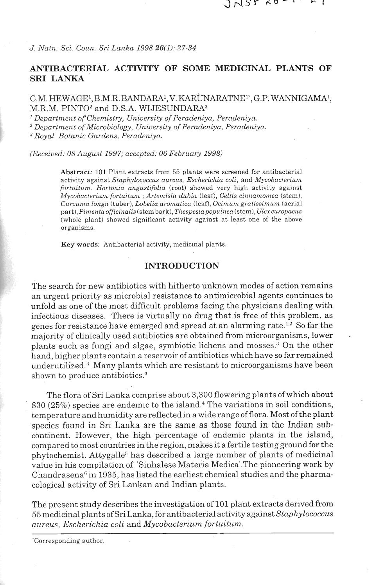$JNST$   $60 - 1$ 

*J. Natn. Sci. Coun. Sri Lanka 1998 26(1): 27-34* 

# **ANTIBACTERIAL ACTIVITY OF SOME MEDICINAL PLANTS OF SRI LANKA**

# C.M. HEWAGE<sup>1</sup>, B.M.R. BANDARA<sup>1</sup>, V. KARUNARATNE<sup>1</sup><sup>\*</sup>, G.P. WANNIGAMA<sup>1</sup>, M.R.M. PINTO2 and D.S.A. WIJESUNDARA3

<sup>1</sup> Department of Chemistry, University of Peradeniya, Peradeniya.

<sup>2</sup> Department of Microbiology, University of Peradeniya, Peradeniya.

*Royal Botanic Gardens, Peradeniya.* 

*(Received: 08 Ar~grtst 1997; accepted: 06 February 1998)* 

**Abstract:** 101 Plant extracts from 55 plants were screened for antibacterial activity against *Staphylococcus aureus, Escherichia coli*, and *Mycobacterium fortuitum. Hortonia angustifolia* (root) showed very high activity against *Mycobacteriunt fortuituna* ; *Artentisia dubia* (leaf), *Celtis ciitizantomea* (stem), *Curcuni,~ Longn* (tuber), *Lobelia aronaatica* (leaf), *Ocimunz gratissinz.ccnt* (aerial part), *Pimenta officinalis* (stem bark), *Thespesia populnea* (stem), *Ulex europaeus* (whole plant) showed significant activity against at least one of the above organisms.

**Key** words: Antibacterial activity, medicinal plants.

#### **INTRODUCTION**

The search for new antibiotics with hitherto unknown modes of action remains an urgent priority as microbial resistance to antimicrobial agents continues to unfold as one of the most difficult problems facing the physicians dealing with infectious diseases. There is virtually no drug that is free of this problem, as genes for resistance have emerged and spread at an alarming rate.1.2 So far the majority of clinically used antibiotics are obtained from microorganisms, lower . plants such as fungi and algae, symbiotic lichens and mosses.<sup>3</sup> On the other hand, higher plants contain a reservoir of antibiotics which have so far remained underutilized.<sup>3</sup> Many plants which are resistant to microorganisms have been shown to produce antibiotics. $^3$ 

The flora of Sri Lanka comprise about 3,300 flowering plants ofwhich about  $830 (25%)$  species are endemic to the island.<sup>4</sup> The variations in soil conditions, temperature and humidity are reflectedin a wide range of flora. Most of the plant species found in Sri Lanka are the same as those found in the Indian subcontinent. However, the high percentage of endemic plants in the island, compared to most countries in the region, makes it a fertile testing ground for the phytochemist. Attygalle5 has described a large number of plants of medicinal value in his compilation of 'Sinhalese Materia Medical.The pioneering work by Chandrasena<sup>6</sup> in 1935, has listed the earliest chemical studies and the pharmacological activity of Sri Lankan and Indian plants.

The present study describes the investigation of 101 plant extracts derived from 55 medicinal plants of Sri Lanka, for antibacterial activity against *Staplzylococcus*   $a$ ureus, Escherichia coli and *Mycobacterium fortuitum*.

<sup>&#</sup>x27;Corresponding author.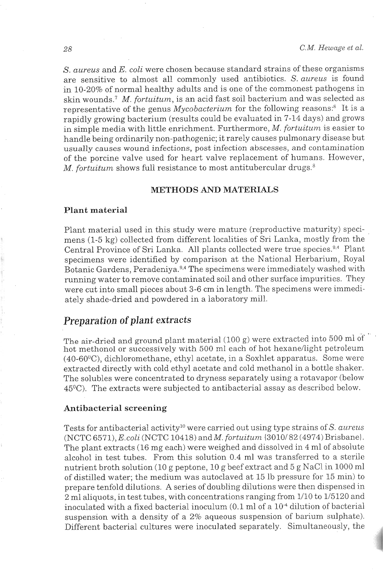S. aureus and E. coli were chosen because standard strains of these organisms are sensitive to almost all commonly used antibiotics. *S. aureus* is found in 10-20% of normal healthy adults and is one of the commonest pathogens in skin wounds.<sup>7</sup> *M. fortuitum*, is an acid fast soil bacterium and was selected as representative of the genus  $Mycobacterium$  for the following reasons:<sup>8</sup> It is a rapidly growing bacterium (results could be evaluated in 7-14 days) and grows in simple media with little enrichment. Furthermore, *M. fortuitum* is easier to handle being ordinarily non-pathogenic; it rarely causes pulmonary disease but usually causes wound infections, post infection abscesses, and contamination of the porcine valve used for heart valve replacement of humans. However, M. fortuitum shows full resistance to most antitubercular drugs. $8$ 

#### **METHODS AND MATERIALS**

#### Plant material

Plant material used in this study were mature (reproductive maturity) specimens (1-5 kg) collected from different localities of Sri Lanka, mostly from the Central Province of Sri Lanka. All plants collected were true species.<sup>9,4</sup> Plant specimens were identified by comparison at the National Herbarium, Royal Botanic Gardens, Peradeniya.<sup>9,4</sup> The specimens were immediately washed with running water to remove contaminated soil and other surface impurities. They were cut into small pieces about 3-6 cm in length. The specimens were immediately shade-dried and powdered in a laboratory mill.

# *Preparation* **of** *plant extracts* , ,

**The** air-dried and ground plant material (100 g) were extracted into 500 ml of hot methonol or successively with 500 ml each of hot hexane/light petroleum  $(40-60\degree C)$ , dichloromethane, ethyl acetate, in a Soxhlet apparatus. Some were extracted directly with cold ethyl acetate and cold methanol in a bottle shaker. The solubles were concentrated to dryness separately using a rotavapor (below 45OC). The extracts were subjected to antibacterial assay as described below.

#### Antibacterial screening

Tests for antibacterial activity<sup>10</sup> were carried out using type strains of *S. aureus* (NCTC 6571), *E.coli* (NCTC 10418) and *M. fortuitum* {3010/82 (4974) Brisbane}. The plant extracts (16 mg each) were weighed and dissolved in 4 ml of absolute alcohol in test tubes. From this solution 0.4 ml was transferred to a sterile nutrient broth solution (10 g peptone, 10 g beef extract and 5 g NaCl in 1000 ml of distilled water; the medium was autoclaved at 15 lb pressure for 15 min) to prepare tenfold dilutions. A series of doubling dilutions were then dispensed in 2 ml aliquots, in test tubes, with concentrations ranging from 1/10 to 1/5120 and inoculated with a fixed bacterial inoculum (0.1 ml of a  $10^{-4}$  dilution of bacterial suspension with a density of a 2% aqueous suspension of barium sulphate). Different bacterial cultures were inoculated separately. Simultaneously, the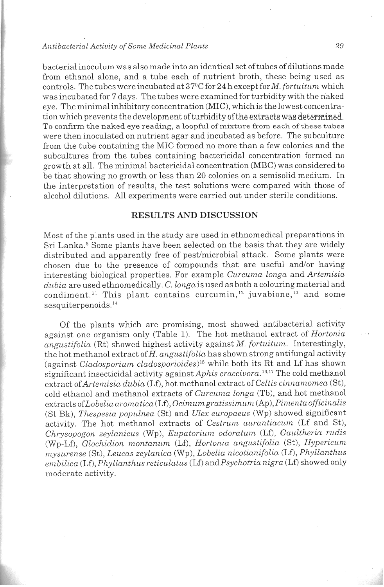#### *Antibacterial Activity of'Sonze Medicinal Plants* 29

bacterial inoculum was also made into an identical set of tubes of dilutions made from ethanol alone, and a tube each of nutrient broth, these being used as controls. The tubes were incubated at 37°C for 24 h except for M. *fortuitum* which was incubated for 7 days. The tubes were examined for turbidity with the naked eye. The minimal inhibitory concentration (MIC), which is the lowest concentration which prevents the development of turbidity of the extracts was determined. TO confirm the naked eye reading, a loopful of mixture from **each** of these tubes were then inoculated on nutrient agar and incubated as before. The subculture from the tube containing the MIC formed no more than a few colonies and the subcultures from the tubes containing bactericidal concentration formed no growth at all. The minimal bactericidal concentration (MBC) was considered to be that showing no growth or less than 20 colonies on a semisolid medium. In the interpretation of results, the test solutions were compared with those of alcohol dilutions. All experiments were carried out under sterile conditions.

#### RESULTS AND DISCUSSION

Most of the plants used in the study are used in ethnomedical preparations in Sri Lanka.<sup>6</sup> Some plants have been selected on the basis that they are widely distributed and apparently free of pest/microbial attack. Some plants were chosen due to the presence of compounds that are useful and/or having interesting biological properties. For example *Curcuma longa* and *Artemisia dubia* are used ethnomedically. *C. longa* is used as both a colouring material and condiment.<sup>11</sup> This plant contains curcumin,<sup>12</sup> juvabione,<sup>13</sup> and some sesquiterpenoids.<sup>14</sup>

Of the plants which are promising, most showed antibacterial, activity against one organism only (Table 1). The hot methanol extract of *Hortonia angustifolia* (Rt) showed highest activity against *M. fortuitum.* Interestingly, the hot methanol extract of H. *angustifolia* has shown strong antifungal activity (against *Cladosporium cladosporioides*)<sup>15</sup> while both its Rt and Lf has shown significant insecticidal activity against *Aphis craccivora*.<sup>16,17</sup> The cold methanol extract *ofArtemisia dubia* (Lf), hot methanol extract of *CeLtis cinnamomea* (St), cold ethanol and methanol extracts of *Curcuma longa* (Tb), and hot methanol  $extracts of Lobelia aromatica (Lf), Ocimum gratissimum (Ap), Pinenta officialis$ (St Bk), *Thespesia populnea* (St) and *Ulex europaeus* (Wp) showed significant activity. The hot methanol extracts of *Cestrum aurantiacum* (Lf and St), *Chrysopogon zeylanicus* (Wp), *Eupatorium odoratum* (Lf), *Gaultheria rudis* (Wp-Lf), *GLoclzidiolz molztanzcm* (Lf), *Hortonia alzgustifolia* (St), *Hypericum mysurense* (St), *Leucas zeylanica* (Wp), *Lobelia nicotianifolia* (Lf), *Phyllanthus embilica* (Lf), *Phyllanthus reticulatus* (Lf) and *Psychotria nigra* (Lf) showed only moderate activity.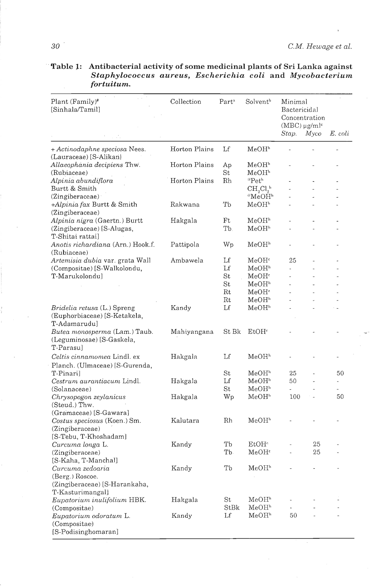| Plant (Family)#                                                                    | Collection    | Part <sup>a</sup> | Solvent <sup>b</sup>                   |                                                                |         |         |  |
|------------------------------------------------------------------------------------|---------------|-------------------|----------------------------------------|----------------------------------------------------------------|---------|---------|--|
| [Sinhala/Tamil]                                                                    |               |                   |                                        | Minimal<br>Bactericidal<br>Concentration<br>$(MBC) \mu g/ml^c$ |         |         |  |
|                                                                                    |               |                   |                                        | Stap.                                                          | $M$ yco | E. coli |  |
| + Actinodaphne speciosa Nees.<br>(Lauraceae) [S-Alikan]                            | Horton Plains | Lf                | MeOH <sup>h</sup>                      |                                                                |         |         |  |
| Allaeophania decipiens Thw.<br>(Rubiaceae)                                         | Horton Plains | Ap<br>St          | MeOH <sup>h</sup><br>MeOH <sup>1</sup> |                                                                |         |         |  |
| Alpinia abundiflora                                                                | Horton Plains | Rh                | *Peth                                  |                                                                |         |         |  |
| Burtt & Smith                                                                      |               |                   | $CH_{2}Cl_{2}^{h}$                     |                                                                |         |         |  |
| (Zingiberaceae)                                                                    |               |                   | $^*$ MeOH $^h$                         |                                                                |         |         |  |
| +Alpinia fax Burtt & Smith                                                         | Rakwana       | Тb                | MeOH <sup>h</sup>                      |                                                                |         |         |  |
| (Zingiberaceae)                                                                    |               |                   |                                        |                                                                |         |         |  |
| Alpinia nigra (Gaertn.) Burtt                                                      | Hakgala       | Ft                | MeOH <sup>n</sup>                      |                                                                |         |         |  |
| (Zingiberaceae) [S-Alugas,<br>T-Shitai rattai]                                     |               | Тb.               | MeOH <sup>h</sup>                      | $\overline{a}$                                                 |         |         |  |
| Anotis richardiana (Arn.) Hook.f.<br>(Rubiaceae)                                   | Pattipola     | Wp                | MeOH <sup>h</sup>                      |                                                                |         |         |  |
| Artemisia dubia var. grata Wall                                                    | Ambawela      | Lf                | MeOH <sup>e</sup>                      | 25                                                             |         |         |  |
| (Compositae) [S-Walkolondu,                                                        |               | Lf                | MeOH <sup>h</sup>                      | L.                                                             |         |         |  |
| T-Marukolondu]                                                                     |               | St                | MeOH <sup>c</sup>                      |                                                                |         |         |  |
|                                                                                    |               | St                | MeOH <sup>h</sup>                      |                                                                |         |         |  |
|                                                                                    |               | Rt                | MeOH <sup>c</sup>                      |                                                                |         |         |  |
|                                                                                    |               | Rt                | MeOH <sup>h</sup>                      |                                                                |         |         |  |
| <i>Bridelia retusa</i> (L.) Spreng<br>(Euphorbiaceae) [S-Ketakela,<br>T-Adamarudul | Kandy         | Lf                | MeOH <sup>h</sup>                      |                                                                |         |         |  |
| <i>Butea monosperma</i> (Lam.) Taub.<br>(Leguminosae) [S-Gaskela,<br>T-Parasul     | Mahiyangana   | St Bk             | EtOH <sup>c</sup>                      |                                                                |         |         |  |
| Celtis cinnamomea Lindl. ex<br>Planch. (Ulmaceae) [S-Gurenda,                      | Hakgala       | Lf                | MeOH <sup>h</sup>                      |                                                                |         |         |  |
| T-Pinari]                                                                          |               | St                | MeOH <sup>h</sup>                      | 25                                                             |         | 50      |  |
| Cestrum aurantiacum Lindl.                                                         | Hakgala       | Lf                | MeOH"                                  | 50                                                             |         |         |  |
| (Solanaceae)                                                                       |               | St                | MeOH <sup>h</sup>                      | ù.                                                             |         |         |  |
| Chrysopogon zeylanicus<br>(Steud.) Thw.                                            | Hakgala       | Wp                | MeOH"                                  | 100                                                            |         | 50      |  |
| (Gramaceae) [S-Gawara]                                                             |               |                   |                                        |                                                                |         |         |  |
| Costus speciosus (Koen.) Sm.<br>(Zingiberaceae)<br>[S-Tebu, T-Khoshadam]           | Kalutara      | Rh                | MeOH <sup>b</sup>                      |                                                                |         |         |  |
| Curcuma longa L.                                                                   | Kandy         | Tb                | EtOH <sup>c</sup>                      |                                                                | 25      |         |  |
| (Zingiberaceae)                                                                    |               | Tb.               | MeOH <sup>c</sup>                      |                                                                | 25      |         |  |
| [S-Kaha, T-Manchal]                                                                |               |                   |                                        |                                                                |         |         |  |
| Curcuma zedoaria<br>(Berg.) Roscoe.                                                | Kandy         | Tb                | MeOH <sup>h</sup>                      |                                                                |         |         |  |
| (Zingiberaceae) [S-Harankaha,<br>T-Kasturimangal]                                  |               |                   |                                        |                                                                |         |         |  |
| Eupatorium inulifolium HBK.                                                        | Hakgala       | St<br>StBk        | MeOH <sup>h</sup><br>MeOH <sup>h</sup> |                                                                |         |         |  |
| (Compositae)<br>Eupatorium odoratum L.                                             | Kandy         | Lf                | MeOH <sup>"</sup>                      | 50                                                             |         |         |  |
| (Compositae)<br>[S-Podisinghomaran]                                                |               |                   |                                        |                                                                |         |         |  |

Table 1: Antibacterial activity of some medicinal plants of Sri Lanka against Staphylococcus aureus, Escherichia coli and Mycobacterium fortuitum.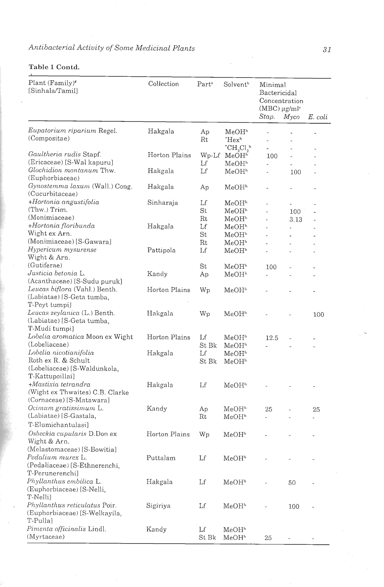# Antibacterial Activity of Some Medicinal Plants

| Plant (Family)#<br>[Sinhala/Tamil]                | Collection    | Part <sup>a</sup> | Solvent <sup>b</sup>          | Minimal<br>Bactericidal<br>Concentration<br>$(MBC) \mu g/ml^c$<br>Stap.<br>Myco |      | E. coli |
|---------------------------------------------------|---------------|-------------------|-------------------------------|---------------------------------------------------------------------------------|------|---------|
| Eupatorium riparium Regel.                        | Hakgala       | Aр                | MeOHʰ                         |                                                                                 |      | L,      |
| (Compositae)                                      |               | Rt                | $Hex^h$                       |                                                                                 |      |         |
|                                                   |               |                   | ${}^{\ast}CH_{2}Cl_{2}{}^{h}$ | $\blacksquare$                                                                  | L,   |         |
| Gaultheria rudis Stapf.                           | Horton Plains | $Wp-Lf$           | MeOH <sup>h</sup>             | 100                                                                             | ÷,   |         |
| (Ericaceae) [S-Wal kapuru]                        |               | Lf                | MeOH"                         | ä,                                                                              |      |         |
| Glochidion montanum Thw.                          | Hakgala       | Lf                | MeOHʰ                         | $\blacksquare$                                                                  | 100  |         |
| (Euphorbiaceae)                                   |               |                   |                               |                                                                                 |      |         |
| Gynostemma laxum (Wall.) Cong.<br>(Cucurbitaceae) | Hakgala       | Ap                | MeOH <sup>h</sup>             | $\overline{\phantom{0}}$                                                        |      |         |
| +Hortonia angustifolia                            | Sinharaja     | Lſ                | MeOH <sup>1</sup>             |                                                                                 |      |         |
| (Thw.) Trim.                                      |               | St                | MeOH <sup>h</sup>             | L,                                                                              | 100  |         |
| (Monimiaceae)                                     |               | Rt                | MeOH"                         | $\overline{a}$                                                                  | 3.13 |         |
| +Hortonia floribunda                              | Hakgala       | Lf                | MeOH <sup>h</sup>             |                                                                                 |      |         |
| Wight ex Arn.                                     |               | St                | MeOH"                         |                                                                                 |      |         |
| (Monimiaceae) [S-Gawara]                          |               | Rt                | MeOH <sup>"</sup>             | ä,                                                                              |      |         |
| Hypericum mysurense                               | Pattipola     | Lf                | MeOH <sup>*</sup>             |                                                                                 |      |         |
| Wight & Arn.                                      |               |                   |                               |                                                                                 |      |         |
| (Gutiferae)                                       |               | St                | MeOH <sup>h</sup>             | 100                                                                             |      |         |
| Justicia betonia L.                               | Kandy         | Ap                | MeOH"                         |                                                                                 |      |         |
| (Acanthaceae) [S-Sudu puruk]                      |               |                   |                               |                                                                                 |      |         |
| Leucas biflora (Vahl.) Benth.                     | Horton Plains | Wp                | MeOH <sup>h</sup>             |                                                                                 |      |         |
| (Labiatae) [S-Geta tumba,                         |               |                   |                               |                                                                                 |      |         |
| T-Peyt tumpi]                                     |               |                   |                               |                                                                                 |      |         |
| Leucas zeylanica (L.) Benth.                      | Hakgala       | Wp                | MeOH <sup>"</sup>             |                                                                                 |      | 100     |
| (Labiatae) [S-Geta tumba,                         |               |                   |                               |                                                                                 |      |         |
| T-Mudi tumpi]                                     |               |                   |                               |                                                                                 |      |         |
| Lobelia aromatica Moon ex Wight                   | Horton Plains | Lf                | $\rm MeOH^{h}$                | 12.5                                                                            | ÷,   |         |
| (Lobeliaceae)                                     |               | St Bk             | MeOH <sup>h</sup>             |                                                                                 |      |         |
| Lobelia nicotianifolia                            | Hakgala       | Lf                | MeOH <sup>h</sup>             |                                                                                 |      |         |
| Roth ex R. & Schult                               |               | St Bk             | MeOH"                         |                                                                                 |      |         |
| (Lobeliaceae) [S-Waldunkola,                      |               |                   |                               |                                                                                 |      |         |
| T-Kattupoillai]                                   |               |                   |                               |                                                                                 |      |         |
| +Mastixia tetrandra                               | Hakgala       | Lf                | MeOH"                         |                                                                                 |      |         |
| (Wight ex Thwaites) C.B. Clarke                   |               |                   |                               |                                                                                 |      |         |
| (Cornaceae) [S-Matawara]                          |               |                   |                               |                                                                                 |      |         |
| Ocimum gratissimum L.                             | Kandy         | Aр                | MeOH <sup>h</sup>             | 25                                                                              |      |         |
| (Labiatae) [S-Gastala,                            |               | Rt                | MeOHʰ                         | ä,                                                                              |      | 25      |
| T-Elumichantulasi]                                |               |                   |                               |                                                                                 |      |         |
|                                                   |               |                   |                               |                                                                                 |      |         |
| Osbeckia cupularis D.Don ex                       | Horton Plains | Wр                | MeOH <sup>n</sup>             |                                                                                 |      |         |
| Wight & Arn.                                      |               |                   |                               |                                                                                 |      |         |
| (Melastomaceae) [S-Bowitia]                       |               |                   |                               |                                                                                 |      |         |
| Pedalium murex L.                                 | Puttalam      | Lf                | MeOH <sup>h</sup>             |                                                                                 |      |         |
| (Pedaliaceae) [S-Ethnerenchi,                     |               |                   |                               |                                                                                 |      |         |
| T-Perunerenchi]                                   |               |                   |                               |                                                                                 |      |         |
| Phyllanthus embilica L.                           | Hakgala       | Lf                | MeOH <sup>h</sup>             |                                                                                 | 50   |         |
| (Euphorbiaceae) [S-Nelli,                         |               |                   |                               |                                                                                 |      |         |
| T-Nelli]                                          |               |                   |                               |                                                                                 |      |         |
| Phyllanthus reticulatus Poir.                     | Sigiriya      | Lf                | MeOH <sup>h</sup>             |                                                                                 | 100  |         |
| (Euphorbiaceae) [S-Welkayila,                     |               |                   |                               |                                                                                 |      |         |
| T-Pulla]                                          |               |                   |                               |                                                                                 |      |         |
| Pimenta officinalis Lindl.                        | Kandy         | Lf                | MeOH <sup>h</sup>             |                                                                                 |      |         |
| (Myrtaceae)                                       |               | St Bk             | MeOH <sup>h</sup>             | 25                                                                              |      |         |

# Table 1 Contd.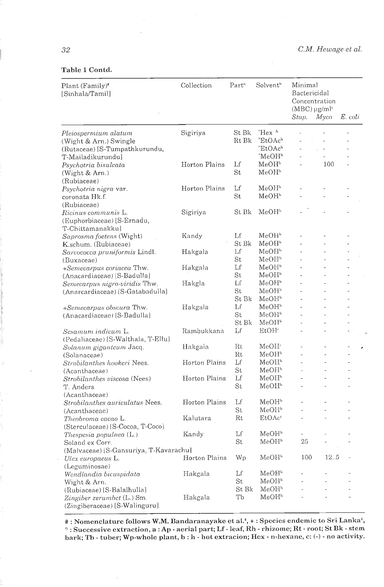#### C.M. Hewage et al.

#### Table 1 Contd.

| Plant (Family)#<br>[Sinhala/Tamil]                          | Collection    | Part <sup>a</sup> | Solvent <sup>h</sup>              | Minimal<br>Bactericidal<br>Concentration<br>$(MBC) \mu g/ml^c$<br>Stap. | Myco                     | E. coti        |
|-------------------------------------------------------------|---------------|-------------------|-----------------------------------|-------------------------------------------------------------------------|--------------------------|----------------|
| Pleiospermium alatum                                        | Sigiriya      | St Bk             | $Hex$ <sup>h</sup>                |                                                                         |                          |                |
| (Wight & Arn.) Swingle                                      |               | Rt Bk             | $^{\circ}\text{EtOAc}^{\text{h}}$ |                                                                         | $\overline{a}$           |                |
| (Rutaceae) [S-Tumpathkurundu,                               |               |                   | $Eto$ Ach                         | $\overline{a}$                                                          | $\overline{\phantom{a}}$ |                |
| T-Mailadikurundu]                                           |               |                   | *MeOH <sup>h</sup>                |                                                                         |                          |                |
| Psychotria bisulcata                                        | Horton Plains | Lf                | MeOH <sup>h</sup>                 | L,                                                                      | 100                      |                |
| (Wight & Arn.)                                              |               | St                | MeOH <sup>h</sup>                 |                                                                         |                          |                |
| (Rubiaceae)                                                 |               |                   |                                   |                                                                         |                          |                |
| Psychotria nigra var.                                       | Horton Plains | Lf                | MeOH <sup>h</sup>                 |                                                                         |                          |                |
| coronata Hk.f.                                              |               | St                | MeOH <sup>h</sup>                 |                                                                         |                          |                |
| (Rubiaceae)                                                 |               |                   |                                   |                                                                         |                          |                |
| Ricinus communis L.                                         | Sigiriya      | St Bk             | MeOH <sup>h</sup>                 |                                                                         |                          |                |
| (Euphorbiaceae) [S-Ernadu,                                  |               |                   |                                   |                                                                         |                          |                |
| T-Chittamanakku]                                            |               |                   |                                   |                                                                         |                          |                |
| Saprosma foetens (Wight)                                    | Kandy         | Lf                | MeOH <sup>h</sup>                 |                                                                         |                          |                |
| K.schum. (Rubiaceae)                                        |               | St Bk             | MeOH"                             |                                                                         |                          |                |
| Sarcococca pruniformis Lindl.                               | Hakgala       | Lf                | MeOH <sup>h</sup>                 | L.                                                                      | L.                       |                |
| (Buxaceae)                                                  |               | St                | MeOH <sup>h</sup>                 | L.                                                                      | $\overline{a}$           |                |
| +Semecarpus coriacea Thw.                                   | Hakgala       | Lf                | MeOH <sup>h</sup>                 |                                                                         |                          |                |
| (Anacardiaceae) [S-Badulla]                                 |               | St                | MeOH <sup>h</sup>                 | ä,                                                                      | $\overline{a}$           | L.             |
| Semecarpus nigro-viridis Thw.                               | Hakgla        | Lſ                | MeOH <sup>h</sup>                 |                                                                         |                          |                |
| (Anarcardiaceae) [S-Gatabadulla]                            |               | St                | MeOH <sup>h</sup>                 | ÷.                                                                      | J.                       |                |
|                                                             |               | St Bk             | MeOH <sup>h</sup>                 | $\overline{\phantom{a}}$                                                | L,                       |                |
| +Semecarpus obscura Thw.                                    | Hakgala       | Lf                | MeOH <sup>h</sup>                 | $\overline{a}$                                                          | $\overline{a}$           | L.             |
| (Anacardiaceae) [S-Badulla]                                 |               | St                | MeOH"                             |                                                                         | $\overline{a}$           |                |
|                                                             |               | St Bk             | MeOH <sup>h</sup>                 | $\mathbf{r}$                                                            | L,                       |                |
| Sesamum indicum L.                                          | Rambukkana    | Lf                | EtOH <sup>c</sup>                 |                                                                         |                          |                |
| (Pedaliaceae) [S-Walthala, T-Ellu]                          |               |                   |                                   |                                                                         |                          |                |
| Solanum giganteum Jacq.                                     | Hakgala       | Rt                | MeOH"                             |                                                                         | ä,                       |                |
| (Solanaceae)                                                |               | Rt                | MeOH"                             |                                                                         | L                        |                |
| Strobilanthes hookeri Nees.                                 | Horton Plains | Lf                | MeOH <sup>h</sup>                 |                                                                         | $\overline{a}$           | L.             |
| (Acanthaceae)                                               |               | St                | MeOH <sup>h</sup>                 |                                                                         | L,                       |                |
| Strobilanthes viscosa (Nees)                                | Horton Plains | Lf                | MeOH <sup>h</sup>                 | $\overline{a}$                                                          | ä,                       |                |
| T. Anders                                                   |               | St                | $\rm MeOH^h$                      | ÷,                                                                      | $\ddot{\phantom{1}}$     |                |
| (Acanthaceae)                                               |               |                   |                                   |                                                                         |                          |                |
| Strobilanthes auriculatus Nees.                             | Horton Plains | Lf                | MeOH <sup>h</sup>                 |                                                                         |                          |                |
| (Acanthaceae)                                               |               | St                | MeOH <sup>h</sup>                 | $\overline{a}$                                                          | ä,                       |                |
| Theobroma cacao L.                                          | Kalutara      | Rt                | EtOAc <sup>c</sup>                |                                                                         |                          |                |
| (Sterculaceae) [S-Cocoa, T-Coco]                            |               |                   |                                   |                                                                         |                          |                |
| Thespesia populnea (L.)                                     | Kandy         | Lf                | MeOH <sup>h</sup>                 |                                                                         |                          |                |
| Soland ex Corr.                                             |               | St                | MeOH <sup>h</sup>                 | 25                                                                      |                          |                |
| (Malvaceae) [S-Gansuriya, T-Kavarachu]                      |               |                   |                                   |                                                                         |                          |                |
| Ulex europaeus L.                                           | Horton Plains | Wp                | MeOH <sup>h</sup>                 | 100                                                                     | 12.5                     | L              |
| (Leguminosae)                                               |               |                   |                                   |                                                                         |                          |                |
| Wendlandia bicuspidata                                      | Hakgala       | Lf                | MeOH <sup>h</sup>                 |                                                                         |                          |                |
| Wight & Arn.                                                |               | St                | MeOH <sup>h</sup>                 |                                                                         |                          |                |
| (Rubiaceae) [S-Balalhulla]                                  |               | St Bk             | MeOH <sup>h</sup>                 |                                                                         |                          |                |
| Zingiber zerumbet (L.) Sm.<br>(Zingiberaceae) [S-Walinguru] | Hakgala       | Tb                | MeOH <sup>h</sup>                 | ä,                                                                      |                          | $\overline{a}$ |

#: Nomenclature follows W.M. Bandaranayake et al.<sup>4</sup>, + : Species endemic to Sri Lanka<sup>4</sup>, \*: Successive extraction, a: Ap - aerial part; Lf - leaf, Rh - rhizome; Rt - root; St Bk - stem bark; Tb - tuber; Wp-whole plant, b : h - hot extracion; Hex - n-hexane, c: (-) - no activity.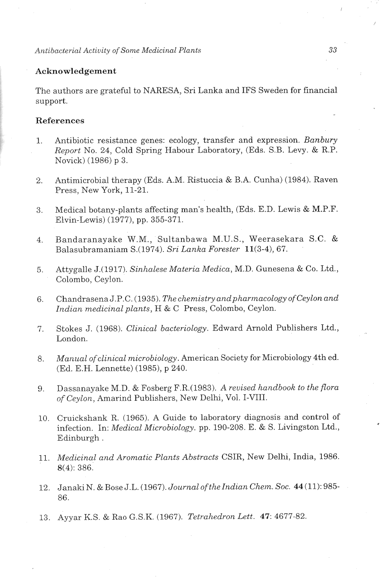#### **Alztibacterial Activity** of **Some Medicinal Plants** *33*

## **Acknowledgement**

The authors are grateful to NARESA, Sri Lanka and IFS Sweden for financial support.

# **References**

- 1. Antibiotic resistance genes: ecology, transfer and expression. *Banbury Report* No. 24, Cold Spring Habour Laboratory, (Eds. S.B. Levy. & R.P. Novick) (1986) p **3.**
- 2. Antimicrobial therapy (Eds. A.M. Ristuccia & B.A. Cunha) (1984). Raven Press, New York, 11-21.
- 3. Medical botany-plants affecting man's health, (Eds. E.D. Lewis & M.P.F Elvin-Lewis) (1977), pp. 355-371.
- 4. Bandaranayake W.M., Sultanbawa M.U.S., Weerasekara S.C. & Balasubramaniarn S.(1974). *Sri Lanka Forester* ll(3-4), 67.
- 5. Attygalle J.(1917). *Sinlzalese Materia Medica, M.D.* Gunesena & Co. Ltd., Colombo, Ceylon.
- 6. Chandrasena J.P.C. (1935). *The chemistry and pharmacology of Ceylon and Indian medicinal plants, H* & C Press, Colombo, Ceylon.
- 7. Stokes J. (1968). *Clinical bacteriology.* Edward Arnold Publishers Ltd., London.
- 8. *Manual of clinical microbiology*. American Society for Microbiology 4th ed. (Ed. E.H. Lennette) (1985), p 240.
- 9. Dassanayake M.D. & Fosberg F.R.(1983). A *revised handbook to the flora of Ceylon,* Amarind Publishers, New Delhi, Vol. I-VIII.
- 10. Cruickshank R. (1965). A Guide to laboratory diagnosis and control of infection. In: *Medical Microbiology.* pp. 190-208. *E.* & S. Livingston Ltd., Edinburgh .
- 11. *Medicinal and Aromatic Plants Abstracts* CSIR, New Delhi, India, 1986. 8(4): 386.
- 12. Janaki N. & Bose J.L. (1967). *Journal of the Indian Chem. Soc.* 44 (11): 985-86.
- 13. Ayyar K.S. & Rao G.S.K. (1967). *Tetralzedron Lett.* 47: 4677-82.